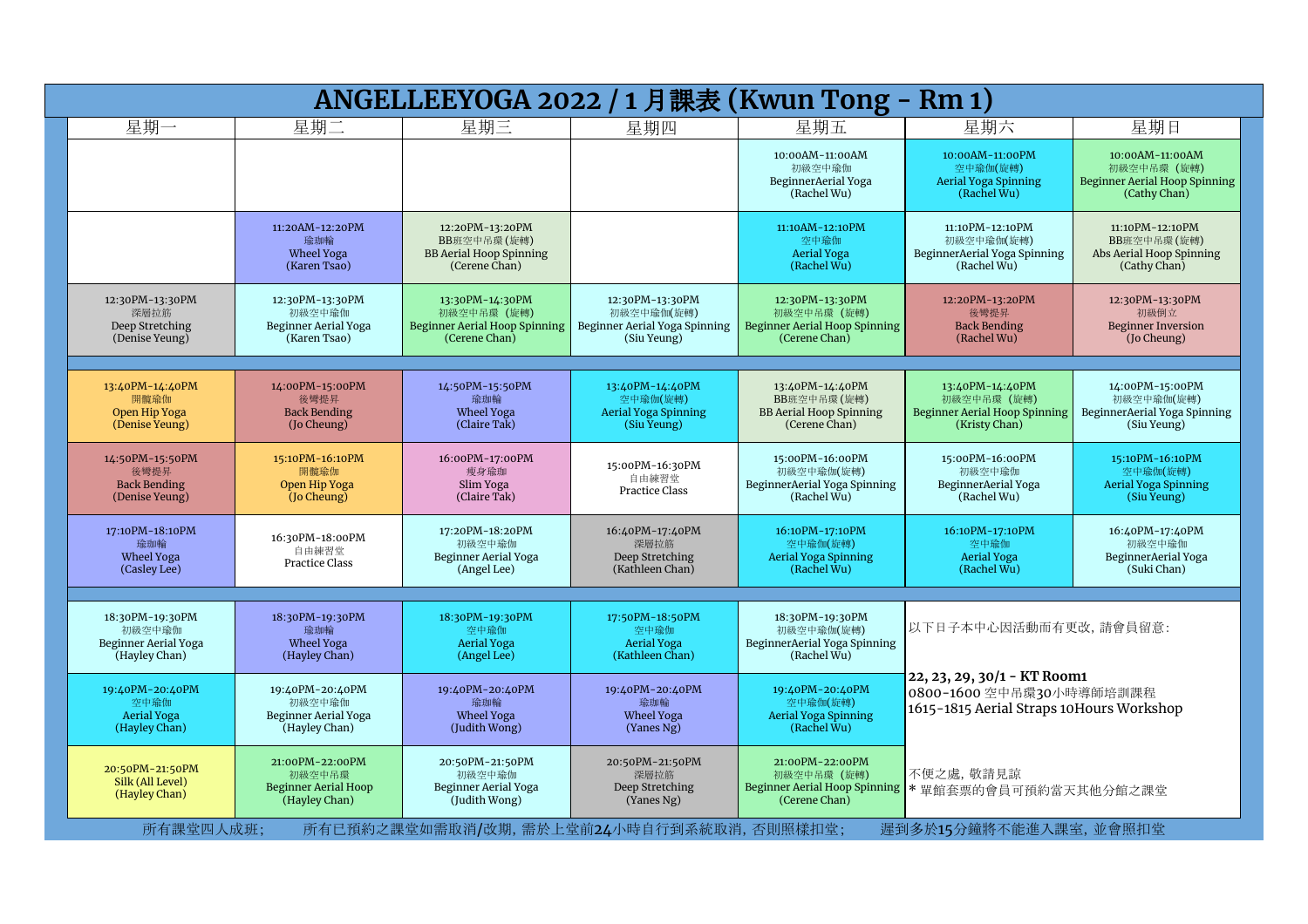| ANGELLEEYOGA 2022 / 1 月課表 (Kwun Tong - Rm 1)                       |                                                                           |                                                                                    |                                                                                                      |                                                                                                           |                                                                                                                              |                                                                                 |  |  |
|--------------------------------------------------------------------|---------------------------------------------------------------------------|------------------------------------------------------------------------------------|------------------------------------------------------------------------------------------------------|-----------------------------------------------------------------------------------------------------------|------------------------------------------------------------------------------------------------------------------------------|---------------------------------------------------------------------------------|--|--|
| 星期一                                                                | 星期二                                                                       | 星期三                                                                                | 星期四                                                                                                  | 星期五                                                                                                       | 星期六                                                                                                                          | 星期日                                                                             |  |  |
|                                                                    |                                                                           |                                                                                    |                                                                                                      | 10:00AM-11:00AM<br>初級空中瑜伽<br>BeginnerAerial Yoga<br>(Rachel Wu)                                           | 10:00AM-11:00PM<br>空中瑜伽(旋轉)<br>Aerial Yoga Spinning<br>(Rachel Wu)                                                           | 10:00AM-11:00AM<br>初級空中吊環 (旋轉)<br>Beginner Aerial Hoop Spinning<br>(Cathy Chan) |  |  |
|                                                                    | 11:20AM-12:20PM<br>瑜珈輪<br>Wheel Yoga<br>(Karen Tsao)                      | 12:20PM-13:20PM<br>BB班空中吊環 (旋轉)<br><b>BB Aerial Hoop Spinning</b><br>(Cerene Chan) |                                                                                                      | 11:10AM-12:10PM<br>空中瑜伽<br><b>Aerial Yoga</b><br>(Rachel Wu)                                              | 11:10PM-12:10PM<br>初級空中瑜伽(旋轉)<br>BeginnerAerial Yoga Spinning<br>(Rachel Wu)                                                 | 11:10PM-12:10PM<br>BB班空中吊環(旋轉)<br>Abs Aerial Hoop Spinning<br>(Cathy Chan)      |  |  |
| 12:30PM-13:30PM<br>深層拉筋<br>Deep Stretching<br>(Denise Yeung)       | 12:30PM-13:30PM<br>初級空中瑜伽<br>Beginner Aerial Yoga<br>(Karen Tsao)         | 13:30PM-14:30PM<br>初級空中吊環 (旋轉)<br>Beginner Aerial Hoop Spinning<br>(Cerene Chan)   | 12:30PM-13:30PM<br>初級空中瑜伽(旋轉)<br>Beginner Aerial Yoga Spinning<br>(Siu Yeung)                        | 12:30PM-13:30PM<br>初級空中吊環 (旋轉)<br><b>Beginner Aerial Hoop Spinning</b><br>(Cerene Chan)                   | 12:20PM-13:20PM<br>後彎提昇<br><b>Back Bending</b><br>(Rachel Wu)                                                                | 12:30PM-13:30PM<br>初級倒立<br><b>Beginner Inversion</b><br>(Jo Cheung)             |  |  |
| 13:40PM-14:40PM<br>開髖瑜伽<br>Open Hip Yoga<br>(Denise Yeung)         | 14:00PM-15:00PM<br>後彎提昇<br><b>Back Bending</b><br>(Jo Cheung)             | 14:50PM-15:50PM<br>瑜珈輪<br>Wheel Yoga<br>(Claire Tak)                               | 13:40PM-14:40PM<br>空中瑜伽(旋轉)<br>Aerial Yoga Spinning<br>(Siu Yeung)                                   | 13:40PM-14:40PM<br>BB班空中吊環(旋轉)<br><b>BB Aerial Hoop Spinning</b><br>(Cerene Chan)                         | 13:40PM-14:40PM<br>初級空中吊環 (旋轉)<br><b>Beginner Aerial Hoop Spinning</b><br>(Kristy Chan)                                      | 14:00PM-15:00PM<br>初級空中瑜伽(旋轉)<br>BeginnerAerial Yoga Spinning<br>(Siu Yeung)    |  |  |
| 14:50PM-15:50PM<br>後彎提昇<br><b>Back Bending</b><br>(Denise Yeung)   | 15:10PM-16:10PM<br>開髕瑜伽<br>Open Hip Yoga<br>(Jo Cheung)                   | 16:00PM-17:00PM<br>瘦身瑜珈<br>Slim Yoga<br>(Claire Tak)                               | 15:00PM-16:30PM<br>自由練習堂<br><b>Practice Class</b>                                                    | 15:00PM-16:00PM<br>初級空中瑜伽(旋轉)<br>BeginnerAerial Yoga Spinning<br>(Rachel Wu)                              | 15:00PM-16:00PM<br>初級空中瑜伽<br>BeginnerAerial Yoga<br>(Rachel Wu)                                                              | 15:10PM-16:10PM<br>空中瑜伽(旋轉)<br><b>Aerial Yoga Spinning</b><br>(Siu Yeung)       |  |  |
| 17:10PM-18:10PM<br>瑜珈輪<br><b>Wheel Yoga</b><br>(Casley Lee)        | 16:30PM-18:00PM<br>自由練習堂<br><b>Practice Class</b>                         | 17:20PM-18:20PM<br>初級空中瑜伽<br>Beginner Aerial Yoga<br>(Angel Lee)                   | 16:40PM-17:40PM<br>深層拉筋<br>Deep Stretching<br>(Kathleen Chan)                                        | 16:10PM-17:10PM<br>空中瑜伽(旋轉)<br><b>Aerial Yoga Spinning</b><br>(Rachel Wu)                                 | 16:10PM-17:10PM<br>空中瑜伽<br><b>Aerial Yoga</b><br>(Rachel Wu)                                                                 | 16:40PM-17:40PM<br>初級空中瑜伽<br>BeginnerAerial Yoga<br>(Suki Chan)                 |  |  |
| 18:30PM-19:30PM<br>初級空中瑜伽<br>Beginner Aerial Yoga<br>(Hayley Chan) | 18:30PM-19:30PM<br>瑜珈輪<br>Wheel Yoga<br>(Hayley Chan)                     | 18:30PM-19:30PM<br>空中瑜伽<br><b>Aerial Yoga</b><br>(Angel Lee)                       | 17:50PM-18:50PM<br>空中瑜伽<br><b>Aerial Yoga</b><br>(Kathleen Chan)                                     | 18:30PM-19:30PM<br>初級空中瑜伽(旋轉)<br>BeginnerAerial Yoga Spinning<br>(Rachel Wu)                              | 以下日子本中心因活動而有更改,請會員留意:<br>22, 23, 29, 30/1 - KT Room1<br>0800-1600 空中吊環30小時導師培訓課程<br>1615-1815 Aerial Straps 10Hours Workshop |                                                                                 |  |  |
| 19:40PM-20:40PM<br>空中瑜伽<br><b>Aerial Yoga</b><br>(Hayley Chan)     | 19:40PM-20:40PM<br>初級空中瑜伽<br>Beginner Aerial Yoga<br>(Hayley Chan)        | 19:40PM-20:40PM<br>瑜珈輪<br>Wheel Yoga<br>(Judith Wong)                              | 19:40PM-20:40PM<br>瑜珈輪<br><b>Wheel Yoga</b><br>(Yanes Ng)                                            | 19:40PM-20:40PM<br>空中瑜伽(旋轉)<br><b>Aerial Yoga Spinning</b><br>(Rachel Wu)                                 |                                                                                                                              |                                                                                 |  |  |
| 20:50PM-21:50PM<br>Silk (All Level)<br>(Hayley Chan)               | 21:00PM-22:00PM<br>初級空中吊環<br><b>Beginner Aerial Hoop</b><br>(Hayley Chan) | 20:50PM-21:50PM<br>初級空中瑜伽<br>Beginner Aerial Yoga<br>(Judith Wong)                 | 20:50PM-21:50PM<br>深層拉筋<br>Deep Stretching<br>(Yanes Ng)<br>所有已預約之課堂如需取消/改期,需於上堂前24小時自行到系統取消,否則照樣扣堂; | 21:00PM-22:00PM<br>初級空中吊環 (旋轉)<br>Beginner Aerial Hoop Spinning<br>(Cerene Chan)<br>遲到多於15分鐘將不能進入課室,並會照扣堂 | 不便之處, 敬請見諒<br>▶■館套票的會員可預約當天其他分館之課堂                                                                                           |                                                                                 |  |  |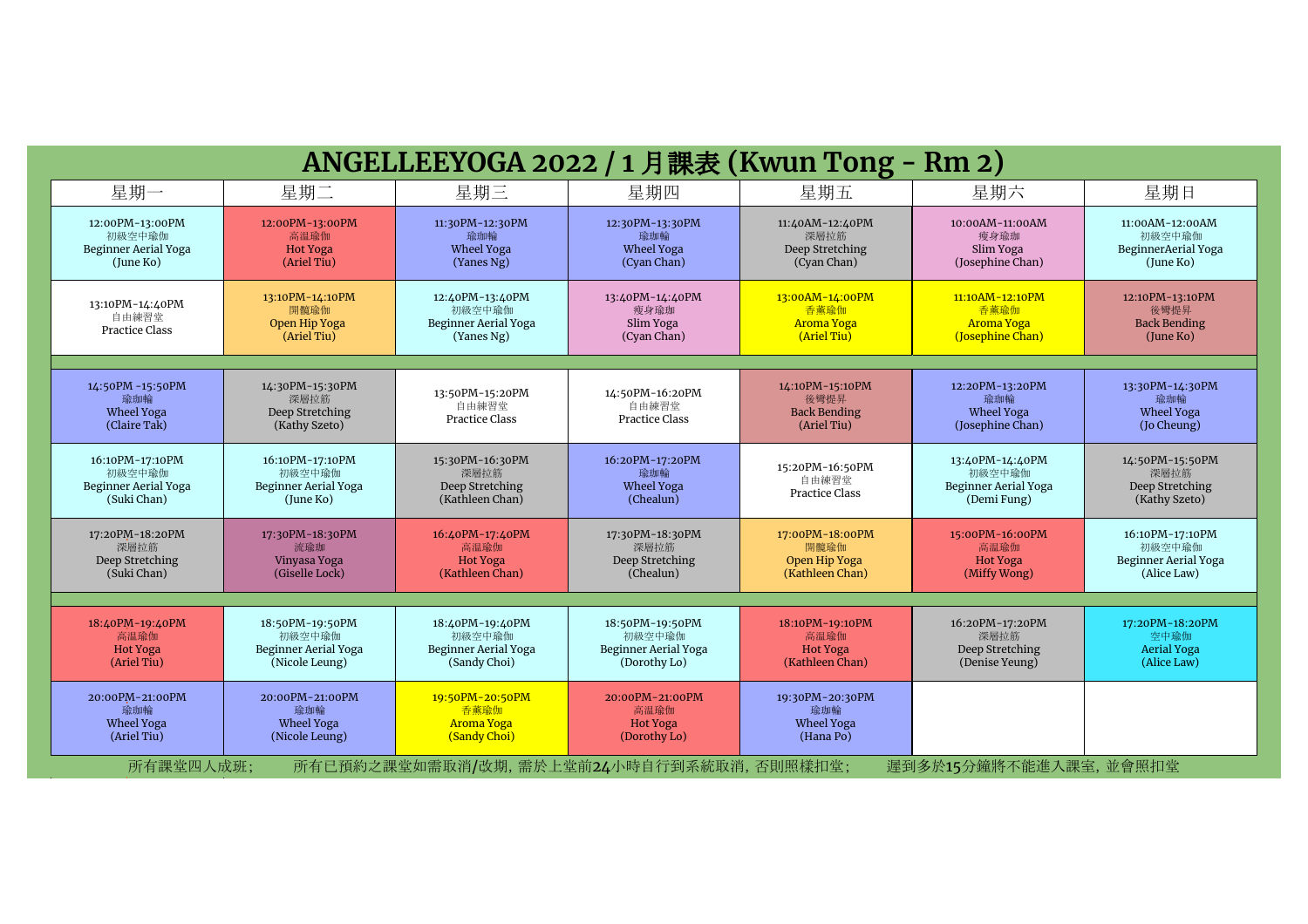| ANGELLEEYOGA 2022 / 1 月課表 (Kwun Tong - Rm 2)                     |                                                                     |                                                                   |                                                                   |                                                               |                                                                  |                                                                         |  |  |
|------------------------------------------------------------------|---------------------------------------------------------------------|-------------------------------------------------------------------|-------------------------------------------------------------------|---------------------------------------------------------------|------------------------------------------------------------------|-------------------------------------------------------------------------|--|--|
| 星期一                                                              | 星期二                                                                 | 星期三                                                               | 星期四                                                               | 星期五                                                           | 星期六                                                              | 星期日                                                                     |  |  |
| 12:00PM-13:00PM<br>初級空中瑜伽<br>Beginner Aerial Yoga<br>(June Ko)   | 12:00PM-13:00PM<br>高温瑜伽<br>Hot Yoga<br>(Ariel Tiu)                  | 11:30PM-12:30PM<br>瑜珈輪<br>Wheel Yoga<br>(Yanes Ng)                | 12:30PM-13:30PM<br>瑜珈輪<br>Wheel Yoga<br>(Cyan Chan)               | 11:40AM-12:40PM<br>深層拉筋<br>Deep Stretching<br>(Cyan Chan)     | 10:00AM-11:00AM<br>瘦身瑜珈<br>Slim Yoga<br>(Josephine Chan)         | 11:00AM-12:00AM<br>初級空中瑜伽<br>BeginnerAerial Yoga<br>(June Ko)           |  |  |
| 13:10PM-14:40PM<br>自由練習堂<br>Practice Class                       | 13:10PM-14:10PM<br>開髓瑜伽<br>Open Hip Yoga<br>(Ariel Tiu)             | 12:40PM-13:40PM<br>初級空中瑜伽<br>Beginner Aerial Yoga<br>(Yanes Ng)   | 13:40PM-14:40PM<br>瘦身瑜珈<br>Slim Yoga<br>(Cyan Chan)               | 13:00AM-14:00PM<br>香薰瑜伽<br><b>Aroma Yoga</b><br>(Ariel Tiu)   | 11:10AM-12:10PM<br>香董瑜伽<br><b>Aroma Yoga</b><br>(Josephine Chan) | 12:10PM-13:10PM<br>後彎提昇<br><b>Back Bending</b><br>(lune Ko)             |  |  |
| 14:50PM -15:50PM<br>瑜珈輪<br>Wheel Yoga<br>(Claire Tak)            | 14:30PM-15:30PM<br>深層拉筋<br>Deep Stretching<br>(Kathy Szeto)         | 13:50PM-15:20PM<br>自由練習堂<br><b>Practice Class</b>                 | 14:50PM-16:20PM<br>自由練習堂<br><b>Practice Class</b>                 | 14:10PM-15:10PM<br>後彎提昇<br><b>Back Bending</b><br>(Ariel Tiu) | 12:20PM-13:20PM<br>瑜珈輪<br>Wheel Yoga<br>(Josephine Chan)         | 13:30PM-14:30PM<br>瑜珈輪<br>Wheel Yoga<br>(Jo Cheung)                     |  |  |
| 16:10PM-17:10PM<br>初級空中瑜伽<br>Beginner Aerial Yoga<br>(Suki Chan) | 16:10PM-17:10PM<br>初級空中瑜伽<br>Beginner Aerial Yoga<br>(June Ko)      | 15:30PM-16:30PM<br>深層拉筋<br>Deep Stretching<br>(Kathleen Chan)     | 16:20PM-17:20PM<br>瑜珈輪<br>Wheel Yoga<br>(Chealun)                 | 15:20PM-16:50PM<br>自由練習堂<br><b>Practice Class</b>             | 13:40PM-14:40PM<br>初級空中瑜伽<br>Beginner Aerial Yoga<br>(Demi Fung) | 14:50PM-15:50PM<br>深層拉筋<br>Deep Stretching<br>(Kathy Szeto)             |  |  |
| 17:20PM-18:20PM<br>深層拉筋<br>Deep Stretching<br>(Suki Chan)        | 17:30PM-18:30PM<br>流瑜珈<br>Vinyasa Yoga<br>(Giselle Lock)            | 16:40PM-17:40PM<br>高温瑜伽<br><b>Hot Yoga</b><br>(Kathleen Chan)     | 17:30PM-18:30PM<br>深層拉筋<br>Deep Stretching<br>(Chealun)           | 17:00PM-18:00PM<br>開髕瑜伽<br>Open Hip Yoga<br>(Kathleen Chan)   | 15:00PM-16:00PM<br>高温瑜伽<br><b>Hot Yoga</b><br>(Miffy Wong)       | 16:10PM-17:10PM<br>初級空中瑜伽<br><b>Beginner Aerial Yoga</b><br>(Alice Law) |  |  |
|                                                                  |                                                                     |                                                                   |                                                                   |                                                               |                                                                  |                                                                         |  |  |
| 18:40PM-19:40PM<br>高温瑜伽<br><b>Hot Yoga</b><br>(Ariel Tiu)        | 18:50PM-19:50PM<br>初級空中瑜伽<br>Beginner Aerial Yoga<br>(Nicole Leung) | 18:40PM-19:40PM<br>初級空中瑜伽<br>Beginner Aerial Yoga<br>(Sandy Choi) | 18:50PM-19:50PM<br>初級空中瑜伽<br>Beginner Aerial Yoga<br>(Dorothy Lo) | 18:10PM-19:10PM<br>高温瑜伽<br><b>Hot Yoga</b><br>(Kathleen Chan) | 16:20PM-17:20PM<br>深層拉筋<br>Deep Stretching<br>(Denise Yeung)     | 17:20PM-18:20PM<br>空中瑜伽<br><b>Aerial Yoga</b><br>(Alice Law)            |  |  |
| 20:00PM-21:00PM<br>瑜珈輪<br>Wheel Yoga<br>(Ariel Tiu)              | 20:00PM-21:00PM<br>瑜珈輪<br>Wheel Yoga<br>(Nicole Leung)              | 19:50PM-20:50PM<br>香薰瑜伽<br><b>Aroma Yoga</b><br>(Sandy Choi)      | 20:00PM-21:00PM<br>高温瑜伽<br><b>Hot Yoga</b><br>(Dorothy Lo)        | 19:30PM-20:30PM<br>瑜珈輪<br>Wheel Yoga<br>(Hana Po)             |                                                                  |                                                                         |  |  |
| 所有課堂四人成班;                                                        |                                                                     |                                                                   | 所有已預約之課堂如需取消/改期,需於上堂前24小時自行到系統取消,否則照樣扣堂;                          |                                                               | 遲到多於15分鐘將不能進入課室,並會照扣堂                                            |                                                                         |  |  |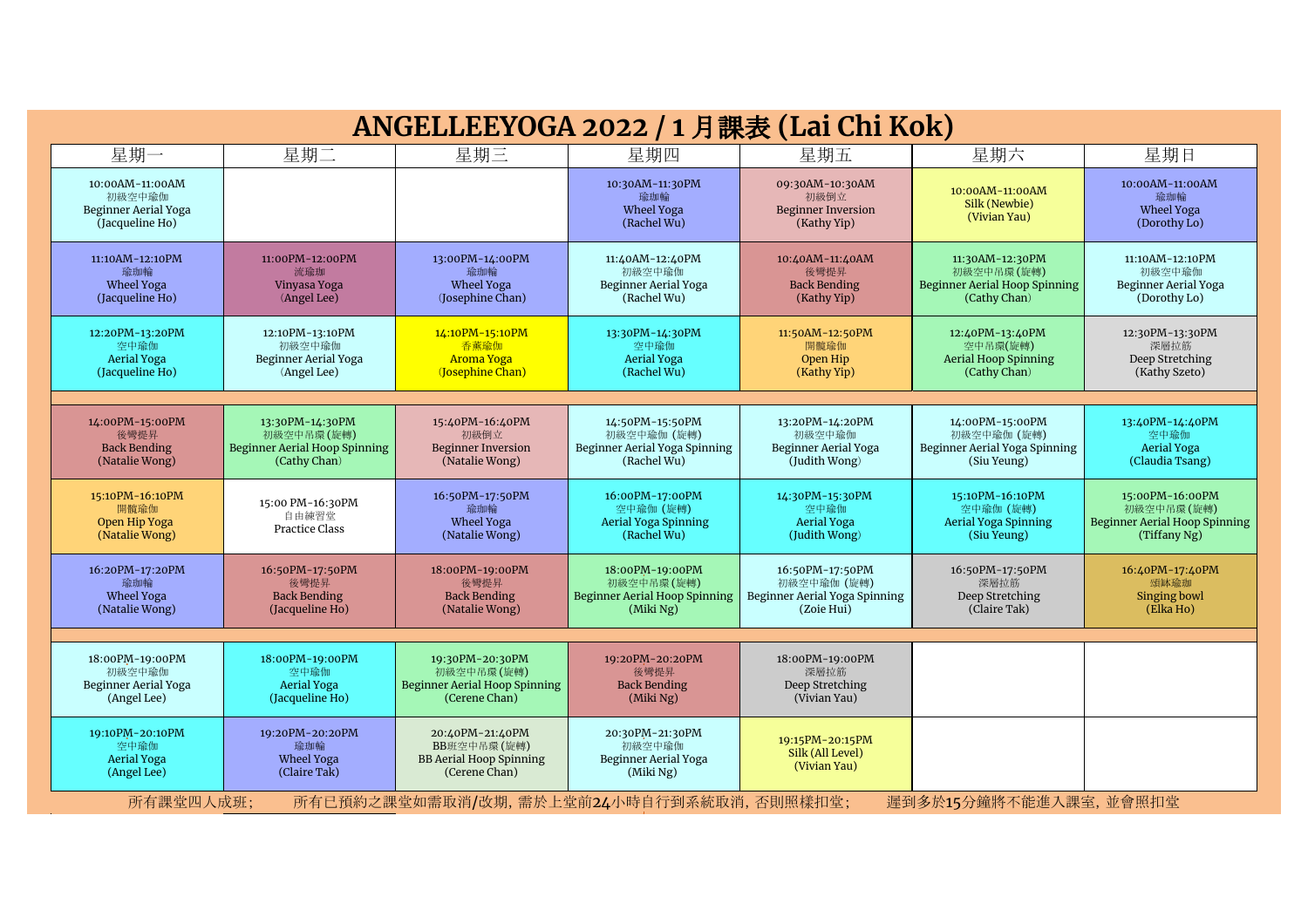| ANGELLEEYOGA 2022 / 1 月課表 (Lai Chi Kok)                                        |                                                                                       |                                                                                   |                                                                                |                                                                               |                                                                                       |                                                                                       |  |  |
|--------------------------------------------------------------------------------|---------------------------------------------------------------------------------------|-----------------------------------------------------------------------------------|--------------------------------------------------------------------------------|-------------------------------------------------------------------------------|---------------------------------------------------------------------------------------|---------------------------------------------------------------------------------------|--|--|
| 星期一                                                                            | 星期二                                                                                   | 星期三                                                                               | 星期四                                                                            | 星期五                                                                           | 星期六                                                                                   | 星期日                                                                                   |  |  |
| 10:00AM-11:00AM<br>初級空中瑜伽<br>Beginner Aerial Yoga<br>(Jacqueline Ho)           |                                                                                       |                                                                                   | 10:30AM-11:30PM<br>瑜珈輪<br>Wheel Yoga<br>(Rachel Wu)                            | 09:30AM-10:30AM<br>初級倒立<br><b>Beginner Inversion</b><br>(Kathy Yip)           | 10:00AM-11:00AM<br>Silk (Newbie)<br>(Vivian Yau)                                      | 10:00AM-11:00AM<br>瑜珈輪<br>Wheel Yoga<br>(Dorothy Lo)                                  |  |  |
| 11:10AM-12:10PM<br>瑜珈輪<br>Wheel Yoga<br>(Jacqueline Ho)                        | 11:00PM-12:00PM<br>流瑜珈<br>Vinyasa Yoga<br>(Angel Lee)                                 | 13:00PM-14:00PM<br>瑜珈輪<br><b>Wheel Yoga</b><br>(Josephine Chan)                   | 11:40AM-12:40PM<br>初級空中瑜伽<br>Beginner Aerial Yoga<br>(Rachel Wu)               | 10:40AM-11:40AM<br>後彎提昇<br><b>Back Bending</b><br>(Kathy Yip)                 | 11:30AM-12:30PM<br>初級空中吊環(旋轉)<br><b>Beginner Aerial Hoop Spinning</b><br>(Cathy Chan) | 11:10AM-12:10PM<br>初級空中瑜伽<br>Beginner Aerial Yoga<br>(Dorothy Lo)                     |  |  |
| 12:20PM-13:20PM<br>空中瑜伽<br><b>Aerial Yoga</b><br>(Jacqueline Ho)               | 12:10PM-13:10PM<br>初級空中瑜伽<br><b>Beginner Aerial Yoga</b><br>(Angel Lee)               | 14:10PM-15:10PM<br>香薰瑜伽<br><b>Aroma Yoga</b><br>(Josephine Chan)                  | 13:30PM-14:30PM<br>空中瑜伽<br><b>Aerial Yoga</b><br>(Rachel Wu)                   | 11:50AM-12:50PM<br>開髖瑜伽<br>Open Hip<br>(Kathy Yip)                            | 12:40PM-13:40PM<br>空中吊環(旋轉)<br><b>Aerial Hoop Spinning</b><br>(Cathy Chan)            | 12:30PM-13:30PM<br>深層拉筋<br>Deep Stretching<br>(Kathy Szeto)                           |  |  |
| 14:00PM-15:00PM<br>後彎提昇<br><b>Back Bending</b><br>(Natalie Wong)               | 13:30PM-14:30PM<br>初級空中吊環(旋轉)<br><b>Beginner Aerial Hoop Spinning</b><br>(Cathy Chan) | 15:40PM-16:40PM<br>初級倒立<br><b>Beginner Inversion</b><br>(Natalie Wong)            | 14:50PM-15:50PM<br>初級空中瑜伽 (旋轉)<br>Beginner Aerial Yoga Spinning<br>(Rachel Wu) | 13:20PM-14:20PM<br>初級空中瑜伽<br>Beginner Aerial Yoga<br>(Judith Wong)            | 14:00PM-15:00PM<br>初級空中瑜伽 (旋轉)<br>Beginner Aerial Yoga Spinning<br>(Siu Yeung)        | 13:40PM-14:40PM<br>空中瑜伽<br><b>Aerial Yoga</b><br>(Claudia Tsang)                      |  |  |
| 15:10PM-16:10PM<br>開髖瑜伽<br>Open Hip Yoga<br>(Natalie Wong)                     | 15:00 PM-16:30PM<br>自由練習堂<br>Practice Class                                           | 16:50PM-17:50PM<br>瑜珈輪<br>Wheel Yoga<br>(Natalie Wong)                            | 16:00PM-17:00PM<br>空中瑜伽 (旋轉)<br>Aerial Yoga Spinning<br>(Rachel Wu)            | 14:30PM-15:30PM<br>空中瑜伽<br><b>Aerial Yoga</b><br>(Judith Wong)                | 15:10PM-16:10PM<br>空中瑜伽 (旋轉)<br>Aerial Yoga Spinning<br>(Siu Yeung)                   | 15:00PM-16:00PM<br>初級空中吊環(旋轉)<br><b>Beginner Aerial Hoop Spinning</b><br>(Tiffany Ng) |  |  |
| 16:20PM-17:20PM<br>瑜珈輪<br>Wheel Yoga<br>(Natalie Wong)                         | 16:50PM-17:50PM<br>後彎提昇<br><b>Back Bending</b><br>(Jacqueline Ho)                     | 18:00PM-19:00PM<br>後彎提昇<br><b>Back Bending</b><br>(Natalie Wong)                  | 18:00PM-19:00PM<br>初級空中吊環(旋轉)<br>Beginner Aerial Hoop Spinning<br>(Miki Ng)    | 16:50PM-17:50PM<br>初級空中瑜伽 (旋轉)<br>Beginner Aerial Yoga Spinning<br>(Zoie Hui) | 16:50PM-17:50PM<br>深層拉筋<br>Deep Stretching<br>(Claire Tak)                            | 16:40PM-17:40PM<br>頌缽瑜珈<br>Singing bowl<br>(Elka Ho)                                  |  |  |
| 18:00PM-19:00PM<br>初級空中瑜伽<br>Beginner Aerial Yoga<br>(Angel Lee)               | 18:00PM-19:00PM<br>空中瑜伽<br>Aerial Yoga<br>(Jacqueline Ho)                             | 19:30PM-20:30PM<br>初級空中吊環(旋轉)<br>Beginner Aerial Hoop Spinning<br>(Cerene Chan)   | 19:20PM-20:20PM<br>後彎提昇<br><b>Back Bending</b><br>(Miki Ng)                    | 18:00PM-19:00PM<br>深層拉筋<br>Deep Stretching<br>(Vivian Yau)                    |                                                                                       |                                                                                       |  |  |
| 19:10PM-20:10PM<br>空中瑜伽<br>Aerial Yoga<br>(Angel Lee)                          | 19:20PM-20:20PM<br>瑜珈輪<br><b>Wheel Yoga</b><br>(Claire Tak)                           | 20:40PM-21:40PM<br>BB班空中吊環(旋轉)<br><b>BB Aerial Hoop Spinning</b><br>(Cerene Chan) | 20:30PM-21:30PM<br>初級空中瑜伽<br>Beginner Aerial Yoga<br>(Miki Ng)                 | 19:15PM-20:15PM<br>Silk (All Level)<br>(Vivian Yau)                           |                                                                                       |                                                                                       |  |  |
| 所有已預約之課堂如需取消/改期,需於上堂前24小時自行到系統取消,否則照樣扣堂;<br>遲到多於15分鐘將不能進入課室,並會照扣堂<br>所有課堂四人成班; |                                                                                       |                                                                                   |                                                                                |                                                                               |                                                                                       |                                                                                       |  |  |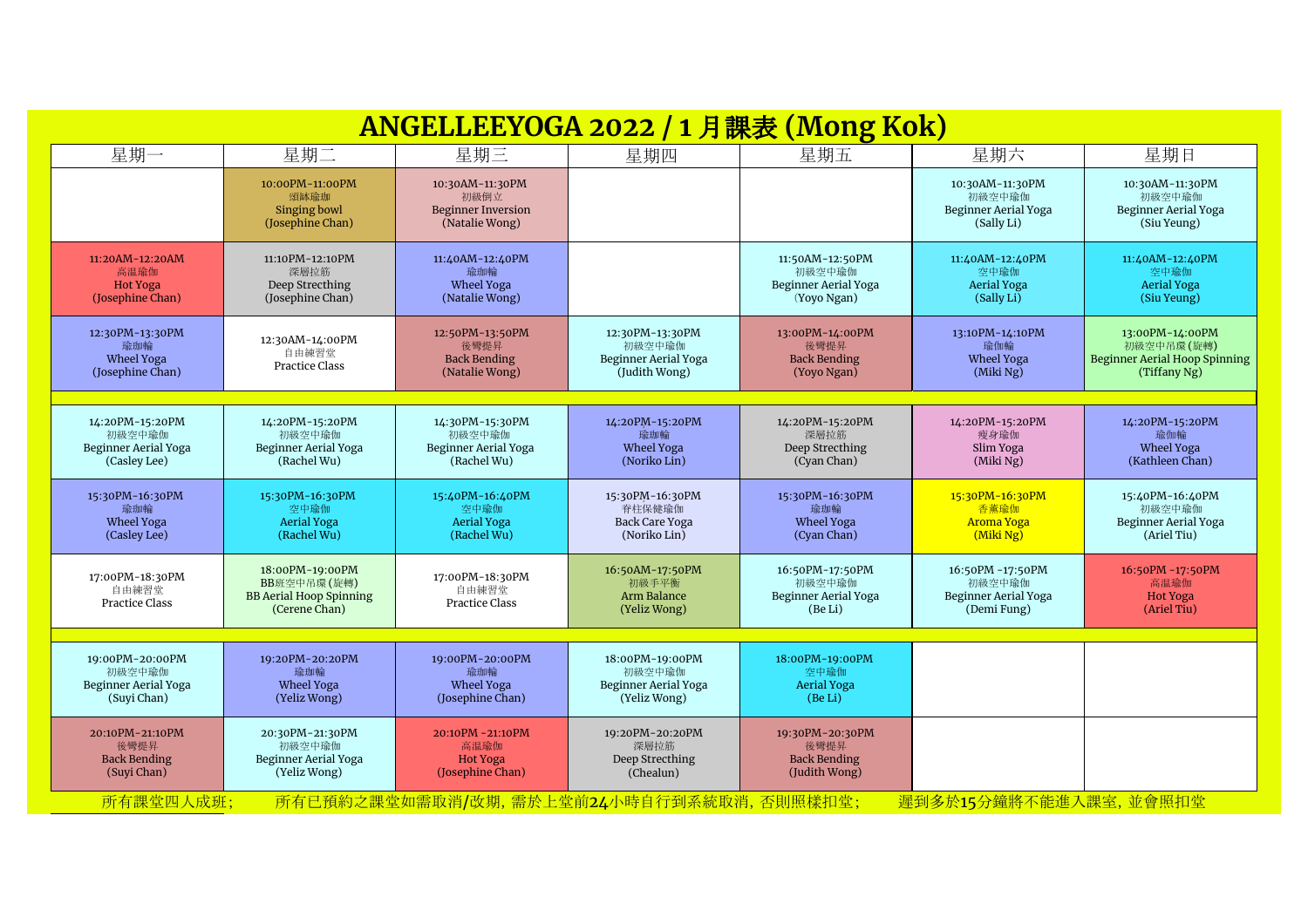| ANGELLEEYOGA 2022 / 1 月課表 (Mong Kok)                              |                                                                                   |                                                                        |                                                                    |                                                                  |                                                                   |                                                                                       |  |  |
|-------------------------------------------------------------------|-----------------------------------------------------------------------------------|------------------------------------------------------------------------|--------------------------------------------------------------------|------------------------------------------------------------------|-------------------------------------------------------------------|---------------------------------------------------------------------------------------|--|--|
| 星期一                                                               | 星期二                                                                               | 星期三                                                                    | 星期四                                                                | 星期五                                                              | 星期六                                                               | 星期日                                                                                   |  |  |
|                                                                   | 10:00PM-11:00PM<br>頌缽瑜珈<br>Singing bowl<br>(Josephine Chan)                       | 10:30AM-11:30PM<br>初級倒立<br><b>Beginner Inversion</b><br>(Natalie Wong) |                                                                    |                                                                  | 10:30AM-11:30PM<br>初級空中瑜伽<br>Beginner Aerial Yoga<br>(Sally Li)   | 10:30AM-11:30PM<br>初級空中瑜伽<br>Beginner Aerial Yoga<br>(Siu Yeung)                      |  |  |
| 11:20AM-12:20AM<br>高温瑜伽<br><b>Hot Yoga</b><br>(Josephine Chan)    | 11:10PM-12:10PM<br>深層拉筋<br>Deep Strecthing<br>(Josephine Chan)                    | 11:40AM-12:40PM<br>瑜珈輪<br>Wheel Yoga<br>(Natalie Wong)                 |                                                                    | 11:50AM-12:50PM<br>初級空中瑜伽<br>Beginner Aerial Yoga<br>(Yoyo Ngan) | 11:40AM-12:40PM<br>空中瑜伽<br><b>Aerial Yoga</b><br>(Sally Li)       | 11:40AM-12:40PM<br>空中瑜伽<br><b>Aerial Yoga</b><br>(Siu Yeung)                          |  |  |
| 12:30PM-13:30PM<br>瑜珈輪<br><b>Wheel Yoga</b><br>(Josephine Chan)   | 12:30AM-14:00PM<br>自由練習堂<br><b>Practice Class</b>                                 | 12:50PM-13:50PM<br>後彎提昇<br><b>Back Bending</b><br>(Natalie Wong)       | 12:30PM-13:30PM<br>初級空中瑜伽<br>Beginner Aerial Yoga<br>(Judith Wong) | 13:00PM-14:00PM<br>後彎提昇<br><b>Back Bending</b><br>(Yoyo Ngan)    | 13:10PM-14:10PM<br>瑜伽輪<br>Wheel Yoga<br>(Miki Ng)                 | 13:00PM-14:00PM<br>初級空中吊環(旋轉)<br><b>Beginner Aerial Hoop Spinning</b><br>(Tiffany Ng) |  |  |
| 14:20PM-15:20PM<br>初級空中瑜伽<br>Beginner Aerial Yoga<br>(Casley Lee) | 14:20PM-15:20PM<br>初級空中瑜伽<br>Beginner Aerial Yoga<br>(Rachel Wu)                  | 14:30PM-15:30PM<br>初級空中瑜伽<br>Beginner Aerial Yoga<br>(Rachel Wu)       | 14:20PM-15:20PM<br>瑜珈輪<br><b>Wheel Yoga</b><br>(Noriko Lin)        | 14:20PM-15:20PM<br>深層拉筋<br>Deep Strecthing<br>(Cyan Chan)        | 14:20PM-15:20PM<br>瘦身瑜伽<br>Slim Yoga<br>(Miki Ng)                 | 14:20PM-15:20PM<br>瑜伽輪<br>Wheel Yoga<br>(Kathleen Chan)                               |  |  |
| 15:30PM-16:30PM<br>瑜珈輪<br>Wheel Yoga<br>(Casley Lee)              | 15:30PM-16:30PM<br>空中瑜伽<br><b>Aerial Yoga</b><br>(Rachel Wu)                      | 15:40PM-16:40PM<br>空中瑜伽<br>Aerial Yoga<br>(Rachel Wu)                  | 15:30PM-16:30PM<br>脊柱保健瑜伽<br>Back Care Yoga<br>(Noriko Lin)        | 15:30PM-16:30PM<br>瑜珈輪<br><b>Wheel Yoga</b><br>(Cyan Chan)       | 15:30PM-16:30PM<br>香薰瑜伽<br><b>Aroma Yoga</b><br>$(Miki\,Ng)$      | 15:40PM-16:40PM<br>初級空中瑜伽<br>Beginner Aerial Yoga<br>(Ariel Tiu)                      |  |  |
| 17:00PM-18:30PM<br>自由練習堂<br>Practice Class                        | 18:00PM-19:00PM<br>BB班空中吊環(旋轉)<br><b>BB Aerial Hoop Spinning</b><br>(Cerene Chan) | 17:00PM-18:30PM<br>自由練習堂<br>Practice Class                             | 16:50AM-17:50PM<br>初級手平衡<br>Arm Balance<br>(Yeliz Wong)            | 16:50PM-17:50PM<br>初級空中瑜伽<br>Beginner Aerial Yoga<br>(Be Li)     | 16:50PM -17:50PM<br>初級空中瑜伽<br>Beginner Aerial Yoga<br>(Demi Fung) | 16:50PM -17:50PM<br>高温瑜伽<br><b>Hot Yoga</b><br>(Ariel Tiu)                            |  |  |
| 19:00PM-20:00PM<br>初級空中瑜伽<br>Beginner Aerial Yoga<br>(Suyi Chan)  | 19:20PM-20:20PM<br>瑜珈輪<br><b>Wheel Yoga</b><br>(Yeliz Wong)                       | 19:00PM-20:00PM<br>瑜珈輪<br>Wheel Yoga<br>(Josephine Chan)               | 18:00PM-19:00PM<br>初級空中瑜伽<br>Beginner Aerial Yoga<br>(Yeliz Wong)  | 18:00PM-19:00PM<br>空中瑜伽<br>Aerial Yoga<br>(Be Li)                |                                                                   |                                                                                       |  |  |
| 20:10PM-21:10PM<br>後彎提昇<br><b>Back Bending</b><br>(Suyi Chan)     | 20:30PM-21:30PM<br>初級空中瑜伽<br>Beginner Aerial Yoga<br>(Yeliz Wong)                 | 20:10PM - 21:10PM<br>高温瑜伽<br><b>Hot Yoga</b><br>(Josephine Chan)       | 19:20PM-20:20PM<br>深層拉筋<br>Deep Strecthing<br>(Chealun)            | 19:30PM-20:30PM<br>後彎提昇<br><b>Back Bending</b><br>(Judith Wong)  |                                                                   |                                                                                       |  |  |
| 所有課堂四人成班;                                                         |                                                                                   | 所有已預約之課堂如需取消/改期,需於上堂前24小時自行到系統取消,否則照樣扣堂;                               |                                                                    |                                                                  | 遲到多於15分鐘將不能進入課室,並會照扣堂                                             |                                                                                       |  |  |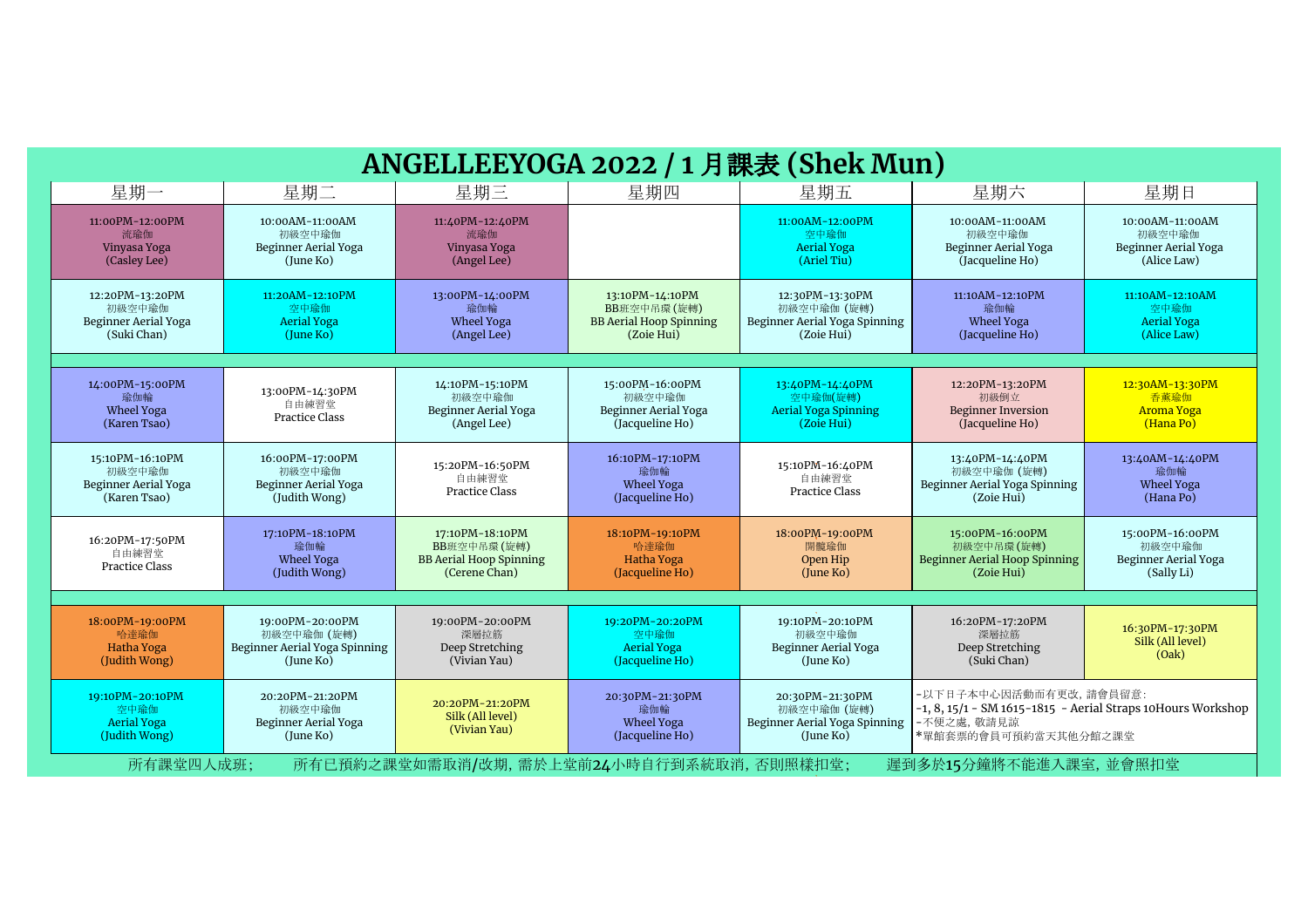| ANGELLEEYOGA 2022 / 1 月課表 (Shek Mun)                              |                                                                              |                                                                                   |                                                                                |                                                                               |                                                                                                                                  |                                                                        |  |  |
|-------------------------------------------------------------------|------------------------------------------------------------------------------|-----------------------------------------------------------------------------------|--------------------------------------------------------------------------------|-------------------------------------------------------------------------------|----------------------------------------------------------------------------------------------------------------------------------|------------------------------------------------------------------------|--|--|
| 星期一                                                               | 星期二                                                                          | 星期三                                                                               | 星期四                                                                            | 星期五                                                                           | 星期六                                                                                                                              | 星期日                                                                    |  |  |
| 11:00PM-12:00PM<br>流瑜伽<br>Vinyasa Yoga<br>(Casley Lee)            | 10:00AM-11:00AM<br>初級空中瑜伽<br>Beginner Aerial Yoga<br>(June Ko)               | 11:40PM-12:40PM<br>流瑜伽<br>Vinyasa Yoga<br>(Angel Lee)                             |                                                                                | 11:00AM-12:00PM<br>空中瑜伽<br><b>Aerial Yoga</b><br>(Ariel Tiu)                  | 10:00AM-11:00AM<br>初級空中瑜伽<br>Beginner Aerial Yoga<br>(Jacqueline Ho)                                                             | 10:00AM-11:00AM<br>初級空中瑜伽<br>Beginner Aerial Yoga<br>(Alice Law)       |  |  |
| 12:20PM-13:20PM<br>初級空中瑜伽<br>Beginner Aerial Yoga<br>(Suki Chan)  | 11:20AM-12:10PM<br>空中瑜伽<br><b>Aerial Yoga</b><br>(lune Ko)                   | 13:00PM-14:00PM<br>瑜伽輪<br>Wheel Yoga<br>(Angel Lee)                               | 13:10PM-14:10PM<br>BB班空中吊環(旋轉)<br><b>BB Aerial Hoop Spinning</b><br>(Zoie Hui) | 12:30PM-13:30PM<br>初級空中瑜伽 (旋轉)<br>Beginner Aerial Yoga Spinning<br>(Zoie Hui) | 11:10AM-12:10PM<br>瑜伽輪<br>Wheel Yoga<br>(Jacqueline Ho)                                                                          | $11:10AM - 12:10AM$<br>空中瑜伽<br><b>Aerial Yoga</b><br>(Alice Law)       |  |  |
| 14:00PM-15:00PM<br>瑜伽輪<br>Wheel Yoga<br>(Karen Tsao)              | 13:00PM-14:30PM<br>自由練習堂<br><b>Practice Class</b>                            | 14:10PM-15:10PM<br>初級空中瑜伽<br>Beginner Aerial Yoga<br>(Angel Lee)                  | 15:00PM-16:00PM<br>初級空中瑜伽<br>Beginner Aerial Yoga<br>(Jacqueline Ho)           | 13:40PM-14:40PM<br>空中瑜伽(旋轉)<br><b>Aerial Yoga Spinning</b><br>(Zoie Hui)      | 12:20PM-13:20PM<br>初級倒立<br><b>Beginner Inversion</b><br>(Jacqueline Ho)                                                          | 12:30AM-13:30PM<br>香薰瑜伽<br><b>Aroma Yoga</b><br>(Hana Po)              |  |  |
| 15:10PM-16:10PM<br>初級空中瑜伽<br>Beginner Aerial Yoga<br>(Karen Tsao) | 16:00PM-17:00PM<br>初級空中瑜伽<br>Beginner Aerial Yoga<br>(Judith Wong)           | 15:20PM-16:50PM<br>自由練習堂<br><b>Practice Class</b>                                 | 16:10PM-17:10PM<br>瑜伽輪<br>Wheel Yoga<br>(Jacqueline Ho)                        | 15:10PM-16:40PM<br>自由練習堂<br>Practice Class                                    | 13:40PM-14:40PM<br>初級空中瑜伽 (旋轉)<br>Beginner Aerial Yoga Spinning<br>(Zoie Hui)                                                    | 13:40AM-14:40PM<br>瑜伽輪<br>Wheel Yoga<br>(Hana Po)                      |  |  |
| 16:20PM-17:50PM<br>自由練習堂<br><b>Practice Class</b>                 | 17:10PM-18:10PM<br>瑜伽輪<br>Wheel Yoga<br>(Judith Wong)                        | 17:10PM-18:10PM<br>BB班空中吊環(旋轉)<br><b>BB Aerial Hoop Spinning</b><br>(Cerene Chan) | 18:10PM-19:10PM<br>哈達瑜伽<br>Hatha Yoga<br>(Jacqueline Ho)                       | 18:00PM-19:00PM<br>開髓瑜伽<br>Open Hip<br>(lune Ko)                              | 15:00PM-16:00PM<br>初級空中吊環(旋轉)<br><b>Beginner Aerial Hoop Spinning</b><br>(Zoie Hui)                                              | 15:00PM-16:00PM<br>初級空中瑜伽<br><b>Beginner Aerial Yoga</b><br>(Sally Li) |  |  |
|                                                                   |                                                                              |                                                                                   |                                                                                |                                                                               |                                                                                                                                  |                                                                        |  |  |
| 18:00PM-19:00PM<br>哈達瑜伽<br>Hatha Yoga<br>(Judith Wong)            | 19:00PM-20:00PM<br>初級空中瑜伽 (旋轉)<br>Beginner Aerial Yoga Spinning<br>(June Ko) | 19:00PM-20:00PM<br>深層拉筋<br>Deep Stretching<br>(Vivian Yau)                        | 19:20PM-20:20PM<br>空中瑜伽<br><b>Aerial Yoga</b><br>(Jacqueline Ho)               | 19:10PM-20:10PM<br>初級空中瑜伽<br>Beginner Aerial Yoga<br>(lune Ko)                | 16:20PM-17:20PM<br>深層拉筋<br>Deep Stretching<br>(Suki Chan)                                                                        | 16:30PM-17:30PM<br>Silk (All level)<br>(Oak)                           |  |  |
| 19:10PM-20:10PM<br>空中瑜伽<br><b>Aerial Yoga</b><br>(Judith Wong)    | 20:20PM-21:20PM<br>初級空中瑜伽<br>Beginner Aerial Yoga<br>(June Ko)               | 20:20PM-21:20PM<br>Silk (All level)<br>(Vivian Yau)                               | 20:30PM-21:30PM<br>瑜伽輪<br>Wheel Yoga<br>(Jacqueline Ho)                        | 20:30PM-21:30PM<br>初級空中瑜伽 (旋轉)<br>Beginner Aerial Yoga Spinning<br>(June Ko)  | - 以下日子本中心因活動而有更改, 請會員留意:<br>$-1, 8, 15/1 - SM$ 1615-1815 - Aerial Straps 10Hours Workshop<br>-不便之處, 敬請見諒<br>*單館套票的會員可預約當天其他分館之課堂 |                                                                        |  |  |
| 所有課堂四人成班;                                                         |                                                                              |                                                                                   | 所有已預約之課堂如需取消/改期,需於上堂前24小時自行到系統取消,否則照樣扣堂;                                       |                                                                               | 遲到多於15分鐘將不能進入課室,並會照扣堂                                                                                                            |                                                                        |  |  |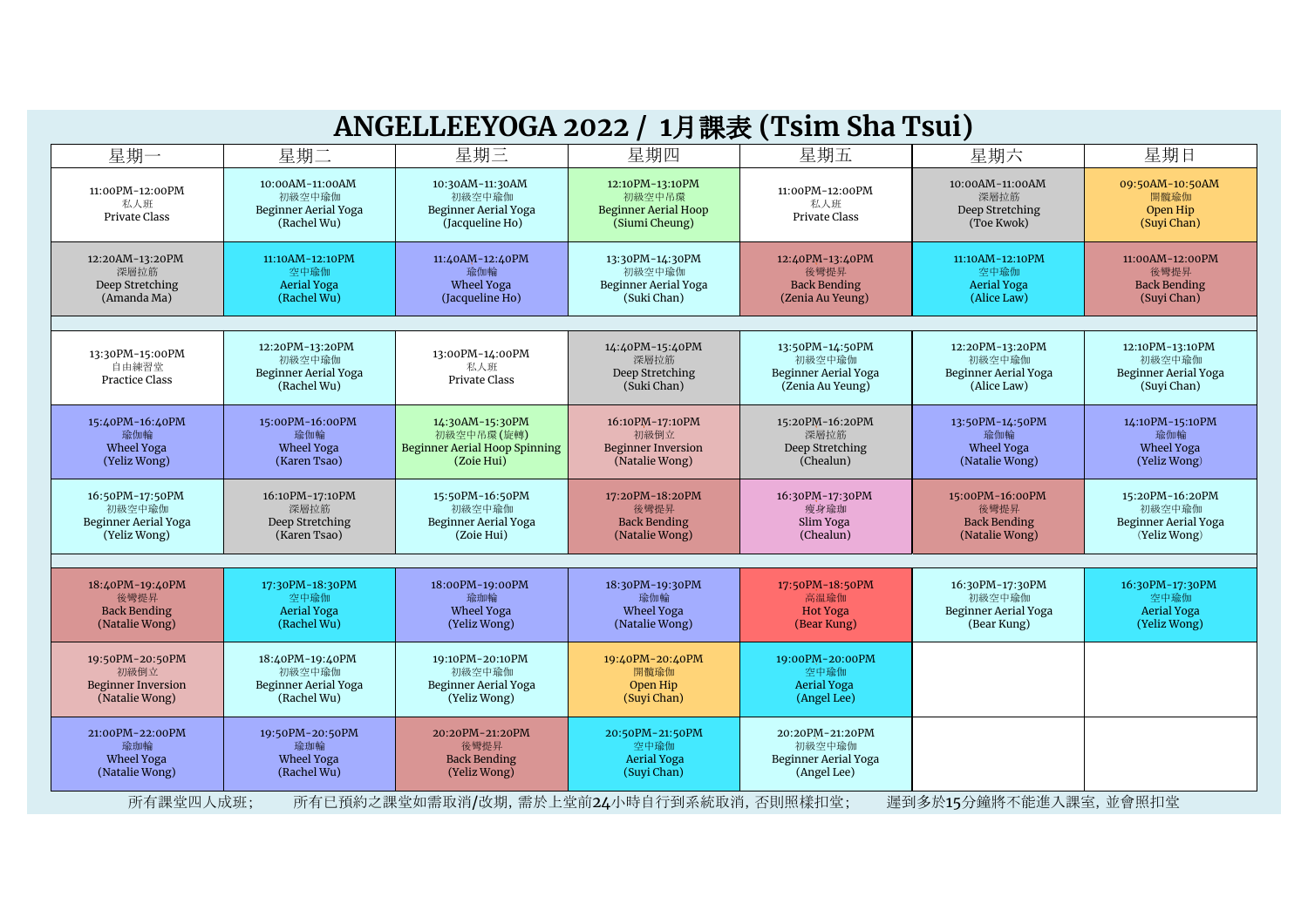|                                                                        |                                                                         | ANGELLEEYOGA 2022 / 1月課表 (Tsim Sha Tsui)                                            |                                                                            |                                                                       |                                                                  |                                                                   |
|------------------------------------------------------------------------|-------------------------------------------------------------------------|-------------------------------------------------------------------------------------|----------------------------------------------------------------------------|-----------------------------------------------------------------------|------------------------------------------------------------------|-------------------------------------------------------------------|
| 星期一                                                                    | 星期二                                                                     | 星期三                                                                                 | 星期四                                                                        | 星期五                                                                   | 星期六                                                              | 星期日                                                               |
| 11:00PM-12:00PM<br>私人班<br>Private Class                                | 10:00AM-11:00AM<br>初級空中瑜伽<br><b>Beginner Aerial Yoga</b><br>(Rachel Wu) | 10:30AM-11:30AM<br>初級空中瑜伽<br>Beginner Aerial Yoga<br>(Jacqueline Ho)                | 12:10PM-13:10PM<br>初級空中吊環<br><b>Beginner Aerial Hoop</b><br>(Siumi Cheung) | 11:00PM-12:00PM<br>私人班<br>Private Class                               | 10:00AM-11:00AM<br>深層拉筋<br>Deep Stretching<br>(Toe Kwok)         | 09:50AM-10:50AM<br>開髖瑜伽<br>Open Hip<br>(Suyi Chan)                |
| 12:20AM-13:20PM<br>深層拉筋<br>Deep Stretching<br>(Amanda Ma)              | 11:10AM-12:10PM<br>空中瑜伽<br>Aerial Yoga<br>(Rachel Wu)                   | 11:40AM-12:40PM<br>瑜伽輪<br>Wheel Yoga<br>(Jacqueline Ho)                             | 13:30PM-14:30PM<br>初級空中瑜伽<br>Beginner Aerial Yoga<br>(Suki Chan)           | 12:40PM-13:40PM<br>後彎提昇<br><b>Back Bending</b><br>(Zenia Au Yeung)    | 11:10AM-12:10PM<br>空中瑜伽<br><b>Aerial Yoga</b><br>(Alice Law)     | 11:00AM-12:00PM<br>後彎提昇<br><b>Back Bending</b><br>(Suyi Chan)     |
| 13:30PM-15:00PM<br>自由練習堂<br><b>Practice Class</b>                      | 12:20PM-13:20PM<br>初級空中瑜伽<br><b>Beginner Aerial Yoga</b><br>(Rachel Wu) | 13:00PM-14:00PM<br>私人班<br>Private Class                                             | 14:40PM-15:40PM<br>深層拉筋<br>Deep Stretching<br>(Suki Chan)                  | 13:50PM-14:50PM<br>初級空中瑜伽<br>Beginner Aerial Yoga<br>(Zenia Au Yeung) | 12:20PM-13:20PM<br>初級空中瑜伽<br>Beginner Aerial Yoga<br>(Alice Law) | 12:10PM-13:10PM<br>初級空中瑜伽<br>Beginner Aerial Yoga<br>(Suyi Chan)  |
| 15:40PM-16:40PM<br>瑜伽輪<br>Wheel Yoga<br>(Yeliz Wong)                   | 15:00PM-16:00PM<br>瑜伽輪<br>Wheel Yoga<br>(Karen Tsao)                    | 14:30AM-15:30PM<br>初級空中吊環(旋轉)<br><b>Beginner Aerial Hoop Spinning</b><br>(Zoie Hui) | 16:10PM-17:10PM<br>初級倒立<br><b>Beginner Inversion</b><br>(Natalie Wong)     | 15:20PM-16:20PM<br>深層拉筋<br>Deep Stretching<br>(Chealun)               | 13:50PM-14:50PM<br>瑜伽輪<br>Wheel Yoga<br>(Natalie Wong)           | 14:10PM-15:10PM<br>瑜伽輪<br>Wheel Yoga<br>(Yeliz Wong)              |
| 16:50PM-17:50PM<br>初級空中瑜伽<br>Beginner Aerial Yoga<br>(Yeliz Wong)      | 16:10PM-17:10PM<br>深層拉筋<br>Deep Stretching<br>(Karen Tsao)              | 15:50PM-16:50PM<br>初級空中瑜伽<br>Beginner Aerial Yoga<br>(Zoie Hui)                     | 17:20PM-18:20PM<br>後彎提昇<br><b>Back Bending</b><br>(Natalie Wong)           | 16:30PM-17:30PM<br>瘦身瑜珈<br>Slim Yoga<br>(Chealun)                     | 15:00PM-16:00PM<br>後彎提昇<br><b>Back Bending</b><br>(Natalie Wong) | 15:20PM-16:20PM<br>初級空中瑜伽<br>Beginner Aerial Yoga<br>(Yeliz Wong) |
| 18:40PM-19:40PM<br>後彎提昇<br><b>Back Bending</b><br>(Natalie Wong)       | 17:30PM-18:30PM<br>空中瑜伽<br><b>Aerial Yoga</b><br>(Rachel Wu)            | 18:00PM-19:00PM<br>瑜珈輪<br>Wheel Yoga<br>(Yeliz Wong)                                | 18:30PM-19:30PM<br>瑜伽輪<br><b>Wheel Yoga</b><br>(Natalie Wong)              | 17:50PM-18:50PM<br>高温瑜伽<br><b>Hot Yoga</b><br>(Bear Kung)             | 16:30PM-17:30PM<br>初級空中瑜伽<br>Beginner Aerial Yoga<br>(Bear Kung) | 16:30PM-17:30PM<br>空中瑜伽<br>Aerial Yoga<br>(Yeliz Wong)            |
| 19:50PM-20:50PM<br>初級倒立<br><b>Beginner Inversion</b><br>(Natalie Wong) | 18:40PM-19:40PM<br>初級空中瑜伽<br>Beginner Aerial Yoga<br>(Rachel Wu)        | 19:10PM-20:10PM<br>初級空中瑜伽<br>Beginner Aerial Yoga<br>(Yeliz Wong)                   | 19:40PM-20:40PM<br>開髖瑜伽<br>Open Hip<br>(Suyi Chan)                         | 19:00PM-20:00PM<br>空中瑜伽<br><b>Aerial Yoga</b><br>(Angel Lee)          |                                                                  |                                                                   |
| 21:00PM-22:00PM<br>瑜珈輪<br>Wheel Yoga<br>(Natalie Wong)                 | 19:50PM-20:50PM<br>瑜珈輪<br>Wheel Yoga<br>(Rachel Wu)                     | 20:20PM-21:20PM<br>後彎提昇<br><b>Back Bending</b><br>(Yeliz Wong)                      | 20:50PM-21:50PM<br>空中瑜伽<br><b>Aerial Yoga</b><br>(Suyi Chan)               | 20:20PM-21:20PM<br>初級空中瑜伽<br>Beginner Aerial Yoga<br>(Angel Lee)      |                                                                  |                                                                   |